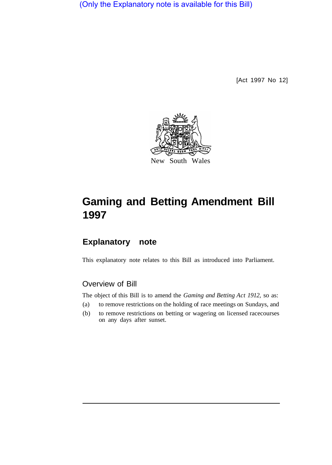(Only the Explanatory note is available for this Bill)

[Act 1997 No 12]



# **Gaming and Betting Amendment Bill 1997**

## **Explanatory note**

This explanatory note relates to this Bill as introduced into Parliament.

## Overview of Bill

The object of this Bill is to amend the *Gaming and Betting Act 1912,* so as:

- (a) to remove restrictions on the holding of race meetings on Sundays, and
- (b) to remove restrictions on betting or wagering on licensed racecourses on any days after sunset.